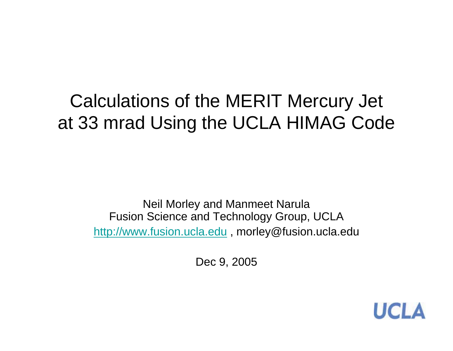## Calculations of the MERIT Mercury Jet at 33 mrad Using the UCLA HIMAG Code

Neil Morley and Manmeet Narula Fusion Science and Technology Group, UCLA http://www.fusion.ucla.edu , morley@fusion.ucla.edu

Dec 9, 2005

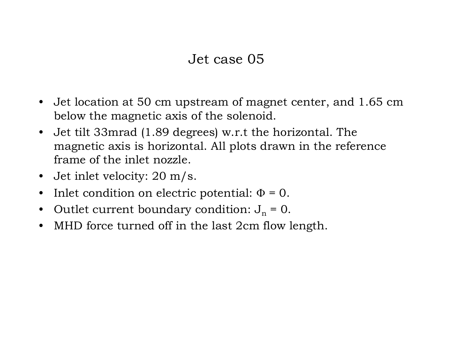## Jet case 05

- $\bullet$  Jet location at 50 cm upstream of magnet center, and 1.65 cm below the magnetic axis of the solenoid.
- $\bullet$  Jet tilt 33mrad (1.89 degrees) w.r.t the horizontal. The magnetic axis is horizontal. All plots drawn in the reference frame of the inlet nozzle.
- Jet inlet velocity: 20 m/s.
- $\bullet$ Inlet condition on electric potential:  $\Phi = 0$ .
- $\bullet$ Outlet current boundary condition:  $J_n = 0$ .
- •MHD force turned off in the last 2cm flow length.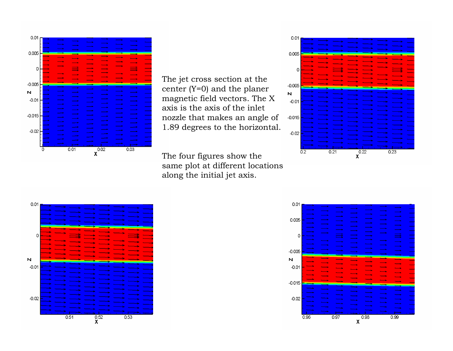

The jet cross section at the center (Y=0) and the planer magnetic field vectors. The X axis is the axis of the inlet nozzle that makes an angle of 1.89 degrees to the horizontal.

The four figures show the same plot at different locations along the initial jet axis.